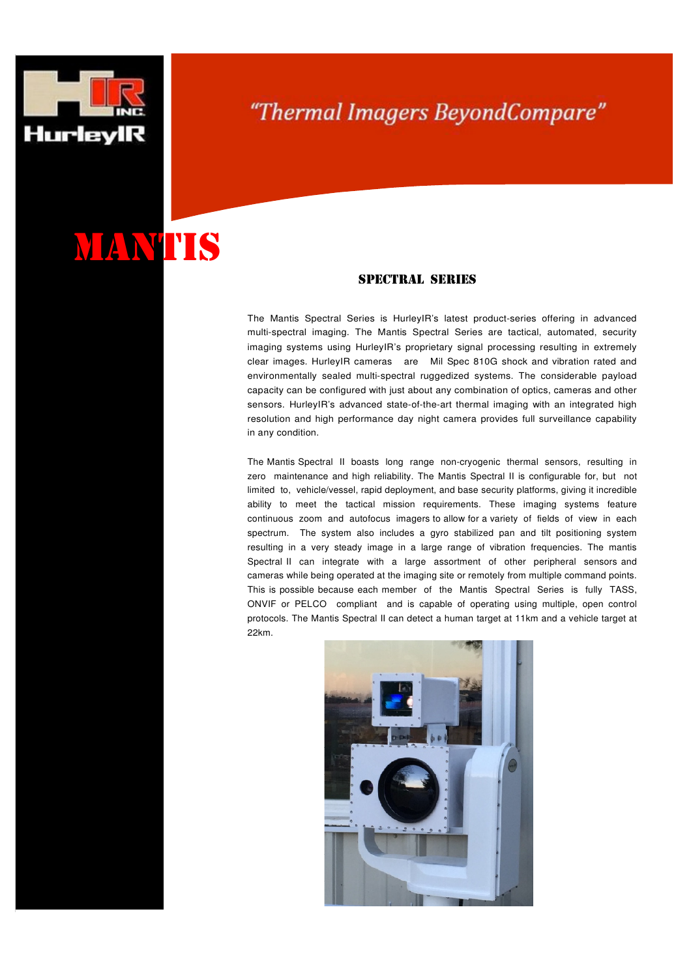

۱

## "Thermal Imagers BeyondCompare"

## MANTIS

## SPECTRAL SERIES

The Mantis Spectral Series is HurleyIR's latest product-series offering in advanced multi-spectral imaging. The Mantis Spectral Series are tactical, automated, security imaging systems using HurleyIR's proprietary signal processing resulting in extremely clear images. HurleyIR cameras are Mil Spec 810G shock and vibration rated and environmentally sealed multi-spectral ruggedized systems. The considerable payload capacity can be configured with just about any combination of optics, cameras and other sensors. HurleyIR's advanced state-of-the-art thermal imaging with an integrated high resolution and high performance day night camera provides full surveillance capability in any condition.

The Mantis Spectral II boasts long range non-cryogenic thermal sensors, resulting in zero maintenance and high reliability. The Mantis Spectral II is configurable for, but not limited to, vehicle/vessel, rapid deployment, and base security platforms, giving it incredible ability to meet the tactical mission requirements. These imaging systems feature continuous zoom and autofocus imagers to allow for a variety of fields of view in each spectrum. The system also includes a gyro stabilized pan and tilt positioning system resulting in a very steady image in a large range of vibration frequencies. The mantis Spectral II can integrate with a large assortment of other peripheral sensors and cameras while being operated at the imaging site or remotely from multiple command points. This is possible because each member of the Mantis Spectral Series is fully TASS, ONVIF or PELCO compliant and is capable of operating using multiple, open control protocols. The Mantis Spectral II can detect a human target at 11km and a vehicle target at 22km.

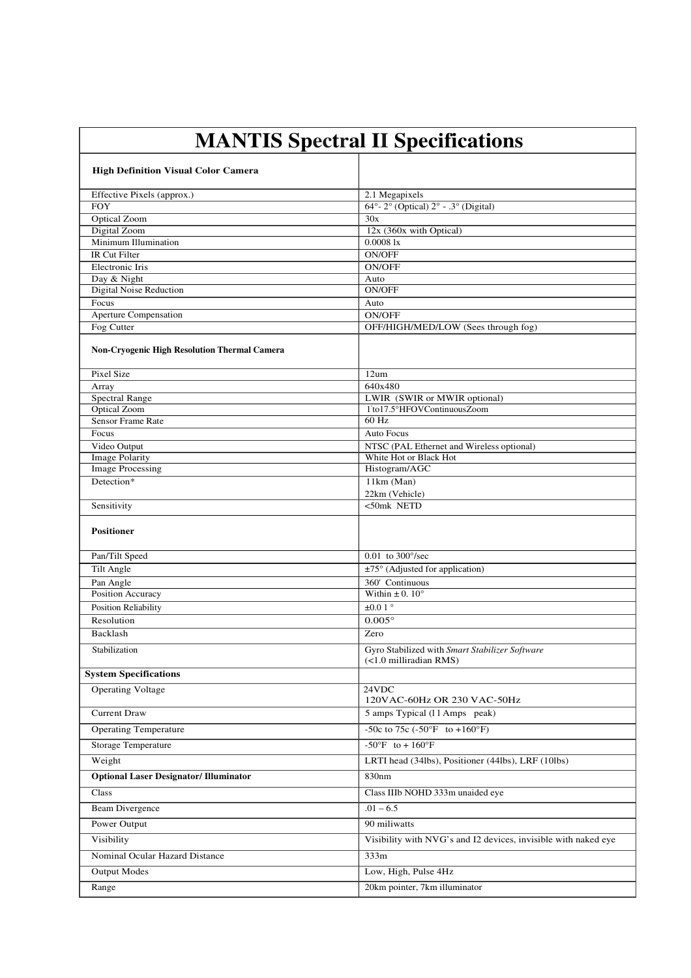| <b>MANTIS Spectral II Specifications</b>     |                                                                            |
|----------------------------------------------|----------------------------------------------------------------------------|
| <b>High Definition Visual Color Camera</b>   |                                                                            |
| Effective Pixels (approx.)                   | 2.1 Megapixels                                                             |
| <b>FOY</b>                                   | 64°-2° (Optical) $2^\circ$ - .3° (Digital)                                 |
| Optical Zoom                                 | 30x                                                                        |
| Digital Zoom                                 | 12x (360x with Optical)                                                    |
| Minimum Illumination                         | 0.00081x                                                                   |
| <b>IR Cut Filter</b>                         | <b>ON/OFF</b>                                                              |
| Electronic Iris                              | <b>ON/OFF</b>                                                              |
| Day & Night                                  | Auto<br>ON/OFF                                                             |
| Digital Noise Reduction<br>Focus             | Auto                                                                       |
| Aperture Compensation                        | <b>ON/OFF</b>                                                              |
| Fog Cutter                                   | OFF/HIGH/MED/LOW (Sees through fog)                                        |
| Non-Cryogenic High Resolution Thermal Camera |                                                                            |
| Pixel Size                                   | 12um                                                                       |
| Array                                        | 640x480                                                                    |
| <b>Spectral Range</b>                        | LWIR (SWIR or MWIR optional)                                               |
| Optical Zoom                                 | 1°to17.5°HFOVContinuousZoom                                                |
| <b>Sensor Frame Rate</b>                     | 60 Hz                                                                      |
| Focus                                        | <b>Auto Focus</b>                                                          |
| Video Output<br><b>Image Polarity</b>        | NTSC (PAL Ethernet and Wireless optional)<br>White Hot or Black Hot        |
| <b>Image Processing</b>                      | Histogram/AGC                                                              |
| Detection*                                   | 11km (Man)<br>22km (Vehicle)                                               |
| Sensitivity                                  | $<$ 50mk NETD                                                              |
| <b>Positioner</b>                            |                                                                            |
| Pan/Tilt Speed                               | $0.01$ to $300^{\circ}/\text{sec}$                                         |
| Tilt Angle                                   | ±75° (Adjusted for application)                                            |
| Pan Angle                                    | 360' Continuous                                                            |
| Position Accuracy                            | Within $\pm$ 0. 10 $^{\circ}$                                              |
| Position Reliability                         | $\pm 0.0$ 1 $^{\circ}$                                                     |
| Resolution                                   | $0.005^\circ$                                                              |
| Backlash                                     | Zero                                                                       |
| Stabilization                                | Gyro Stabilized with Smart Stabilizer Software<br>$(<1.0$ milliradian RMS) |
| <b>System Specifications</b>                 |                                                                            |
| <b>Operating Voltage</b>                     | 24VDC<br>120VAC-60Hz OR 230 VAC-50Hz                                       |
| <b>Current Draw</b>                          | 5 amps Typical (11 Amps peak)                                              |
| <b>Operating Temperature</b>                 | -50c to $\overline{75c (-50^{\circ}F \text{ to } +160^{\circ}F)}$          |
| <b>Storage Temperature</b>                   | $-50^{\circ}$ F to + 160°F                                                 |
| Weight                                       | LRTI head (34lbs), Positioner (44lbs), LRF (10lbs)                         |
| <b>Optional Laser Designator/Illuminator</b> | 830nm                                                                      |
| Class                                        | Class IIIb NOHD 333m unaided eye                                           |
| <b>Beam Divergence</b>                       | $.01 - 6.5$                                                                |
| Power Output                                 | 90 miliwatts                                                               |
| Visibility                                   | Visibility with NVG's and I2 devices, invisible with naked eye             |
| Nominal Ocular Hazard Distance               | 333m                                                                       |
| <b>Output Modes</b>                          | Low, High, Pulse 4Hz                                                       |
| Range                                        | 20km pointer, 7km illuminator                                              |